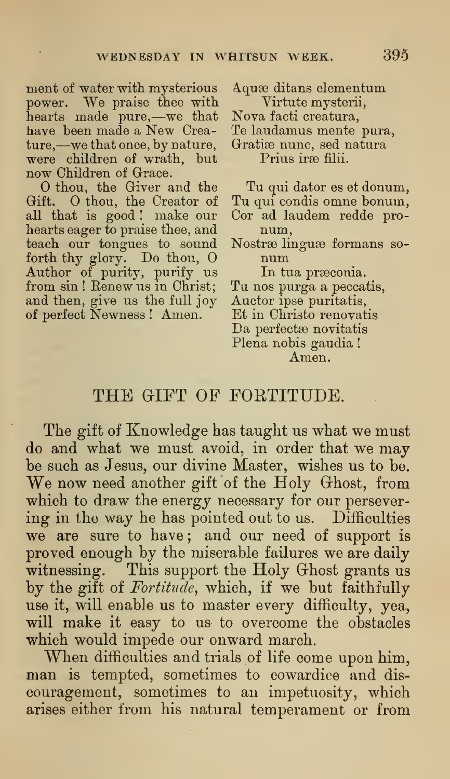ment of water with mysterious power. We praise thee with hearts made pure,—we that have been made a New Creature,—we that once, by nature, were children of wrath, but now Children of Grace.

O thou, the Giver and the Gift. O thou, the Creator of all that is good ! make our hearts eager to praise thee, and teach our tongues to sound forth thy glory. Do thou, O Author of purity, purify us from sin ! Renew us in Christ; To and then, give us the full joy of perfect Newness ! Amen.

Aquæ ditans elementum Virtute mysterii, Nova facti creatura, Te laudamus mente pura, Gratiæ nunc, sed natura

Prius irse filii.

Tu qui dator es et donum, Tu qui condis omne bonum, Cor ad laudem redde pronum,

Nostræ linguæ formans so-<br>num

In tua praeconia.

Tu nos purga a peccatis,

Auctor ipse puritatis,

Et in Christo renovatis

Da perfectse novitatis

Plena nobis gaudia !

Amen.

## THE GIFT OF FORTITUDE.

The gift of Knowledge has taught us what we must do and what we must avoid, in order that we may be such as Jesus, our divine Master, wishes us to be. We now need another gift of the Holy Ghost, from which to draw the energy necessary for our persevering in the way he has pointed out to us. Difficulties we are sure to have; and our need of support is proved enough by the miserable failures we are daily witnessing. This support the Holy Ghost grants us by the gift of Fortitude, which, if we but faithfully use it, will enable us to master every difficulty, yea, will make it easy to us to overcome the obstacles which would impede our onward march.

When difficulties and trials of life come upon him, man is tempted, sometimes to cowardice and discouragement, sometimes to an impetuosity, which arises either from his natural temperament or from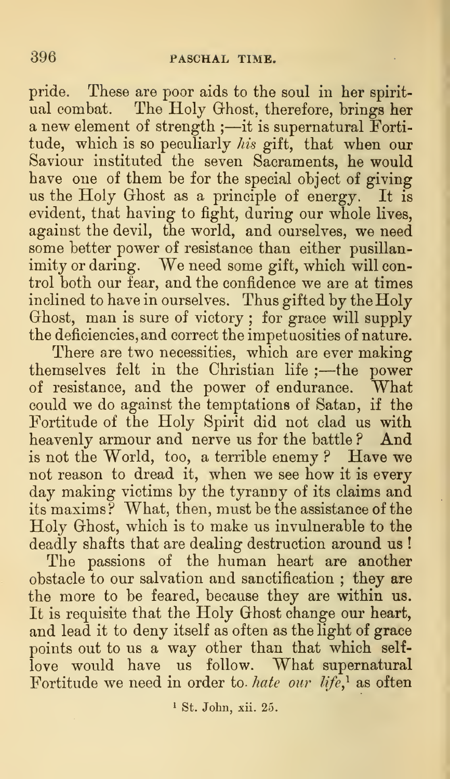pride. These are poor aids to the soul in her spiritual combat. The Holy Ghost, therefore, brings her a new element of strength ;—it is supernatural Fortitude, which is so peculiarly *his* gift, that when our Saviour instituted the seven Sacraments, he would have one of them be for the special object of giving us the Holy Ghost as a principle of energy. It is evident, that having to fight, during our whole lives, against the devil, the world, and ourselves, we need some better power of resistance than either pusillanimity or daring. We need some gift, which will control both our fear, and the confidence we are at times inclined to have in ourselves. Thus gifted by the Holy Ghost, man is sure of victory ; for grace will supply the deficiencies, and correct the impetuosities of nature.

There are two necessities, which are ever making themselves felt in the Christian life ; —the power of resistance, and the power of endurance. What could we do against the temptations of Satan, if the Fortitude of the Holy Spirit did not clad us with heavenly armour and nerve us for the battle ? And is not the World, too, a terrible enemy ? Have we not reason to dread it, when we see how it is every day making victims by the tyranny of its claims and its maxims? What, then, must be the assistance of the Holy Ghost, which is to make us invulnerable to the deadly shafts that are dealing destruction around us !

The passions of the human heart are another obstacle to our salvation and sanctification ; they are the more to be feared, because they are within us. It is requisite that the Holy Ghost change our heart, and lead it to deny itself as often as the light of grace points out to us a way other than that which selflove would have us follow. What supernatural Fortitude we need in order to hate our life,<sup>1</sup> as often

<sup>1</sup> St. John, xii. 25.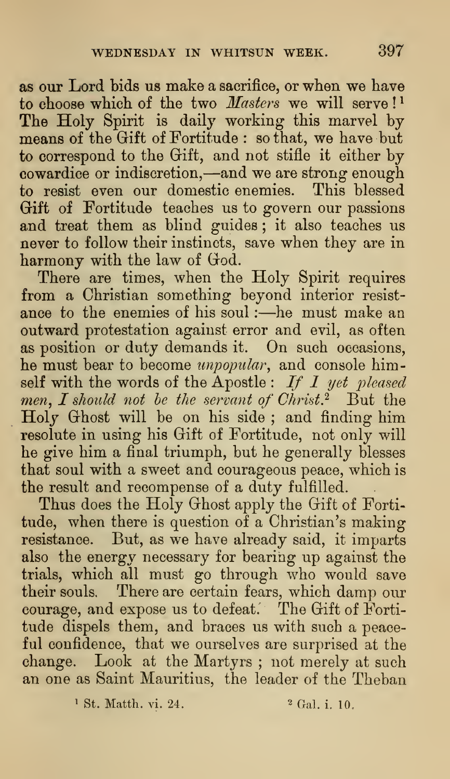as our Lord bids us make a sacrifice, or when we have to choose which of the two  $Masters$  we will serve!<sup>1</sup> The Holy Spirit is daily working this marvel by means of the Gift of Fortitude : so that, we have but to correspond to the Grift, and not stifle it either by cowardice or indiscretion,—and we are strong enough to resist even our domestic enemies. This blessed Gift of Fortitude teaches us to govern our passions and treat them as blind guides ; it also teaches us never to follow their instincts, save when they are in harmony with the law of God.

There are times, when the Holy Spirit requires from a Christian something beyond interior resist-<br>ance to the enemies of his soul :—he must make an outward protestation against error and evil, as often as position or duty demands it. On such occasions, he must bear to become *unpopular*, and console himself with the words of the Apostle :  $If I$  yet pleased men, I should not be the servant of Christ.<sup>2</sup> But the Holy Ghost will be on his side ; and finding him resolute in using his Gift of Fortitude, not only will he give him a final triumph, but he generally blesses that soul with a sweet and courageous peace, which is the result and recompense of a duty fulfilled.

Thus does the Holy Ghost apply the Gift of Fortitude, when there is question of a Christian's making resistance. But, as we have already said, it imparts also the energy necessary for bearing up against the trials, which all must go through who would save their souls. There are certain fears, which damp our courage, and expose us to defeat. The Gift of Fortitude dispels them, and braces us with such a peaceful confidence, that we ourselves are surprised at the change. Look at the Martyrs ; not merely at such an one as Saint Mauritius, the leader of the Theban

<sup>1</sup> St. Matth. vi. 24. <sup>2</sup> Gal. i. 10.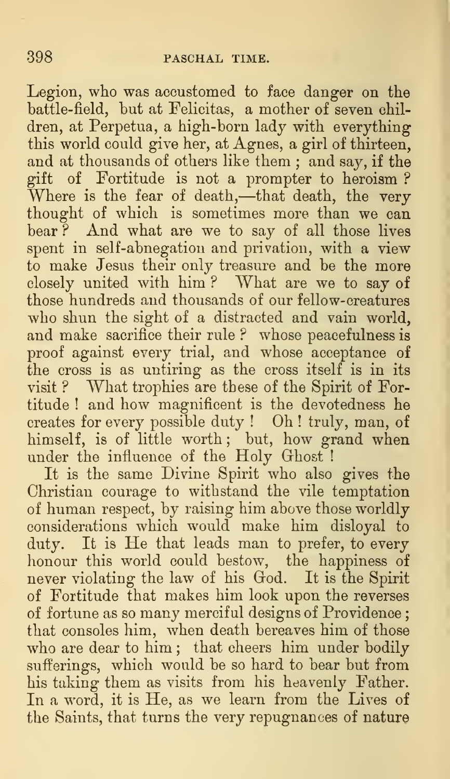Legion, who was accustomed to face danger on the battle-field, but at Felicitas, a mother of seven children, at Perpetua, a high-born lady with everything this world could give her, at Agnes, a girl of thirteen, and at thousands of others like them ; and say, if the gift of Fortitude is not a prompter to heroism ? Where is the fear of death,—that death, the very thought of which is sometimes more than we can bear? And what are we to say of all those lives spent in self-abnegation and privation, with a view to make Jesus their only treasure and be the more closely united with him ? What are we to say of those hundreds and thousands of our fellow- creatures who shun the sight of a distracted and vain world, and make sacrifice their rule? whose peacefulness is proof against every trial, and whose acceptance of the cross is as untiring as the cross itself is in its visit ? What trophies are these of the Spirit of Fortitude ! and how magnificent is the devotedness he creates for every possible duty ! Oh ! truly, man, of himself, is of little worth; but, how grand when under the influence of the  $H$ oly Ghost !

It is the same Divine Spirit who also gives the Christian courage to withstand the vile temptation of human respect, by raising him above those worldly considerations which would make him disloyal to duty. It is He that leads man to prefer, to every honour this world could bestow, the happiness of never violating the law of his God. It is the Spirit of Fortitude that makes him look upon the reverses of fortune as so many merciful designs of Providence that consoles him, when death bereaves him of those who are dear to him ; that cheers him under bodily sufferings, which would be so hard to bear but from his taking them as visits from his heavenly Father. In a word, it is He, as we learn from the Lives of the Saints, that turns the very repugnances of nature